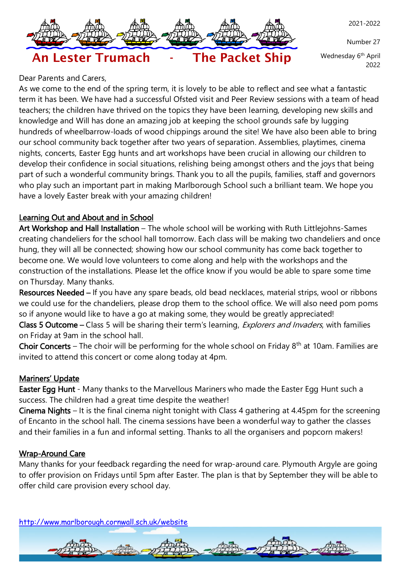

Number 27

Wednesday 6<sup>th</sup> April 2022

# An Lester Trumach - The Packet Ship

#### Dear Parents and Carers,

As we come to the end of the spring term, it is lovely to be able to reflect and see what a fantastic term it has been. We have had a successful Ofsted visit and Peer Review sessions with a team of head teachers; the children have thrived on the topics they have been learning, developing new skills and knowledge and Will has done an amazing job at keeping the school grounds safe by lugging hundreds of wheelbarrow-loads of wood chippings around the site! We have also been able to bring our school community back together after two years of separation. Assemblies, playtimes, cinema nights, concerts, Easter Egg hunts and art workshops have been crucial in allowing our children to develop their confidence in social situations, relishing being amongst others and the joys that being part of such a wonderful community brings. Thank you to all the pupils, families, staff and governors who play such an important part in making Marlborough School such a brilliant team. We hope you have a lovely Easter break with your amazing children!

# Learning Out and About and in School

Art Workshop and Hall Installation - The whole school will be working with Ruth Littlejohns-Sames creating chandeliers for the school hall tomorrow. Each class will be making two chandeliers and once hung, they will all be connected; showing how our school community has come back together to become one. We would love volunteers to come along and help with the workshops and the construction of the installations. Please let the office know if you would be able to spare some time on Thursday. Many thanks.

Resources Needed – If you have any spare beads, old bead necklaces, material strips, wool or ribbons we could use for the chandeliers, please drop them to the school office. We will also need pom poms so if anyone would like to have a go at making some, they would be greatly appreciated! Class 5 Outcome – Class 5 will be sharing their term's learning, *Explorers and Invaders*, with families

on Friday at 9am in the school hall.

Choir Concerts – The choir will be performing for the whole school on Friday  $8<sup>th</sup>$  at 10am. Families are invited to attend this concert or come along today at 4pm.

## Mariners' Update

Easter Egg Hunt - Many thanks to the Marvellous Mariners who made the Easter Egg Hunt such a success. The children had a great time despite the weather!

Cinema Nights – It is the final cinema night tonight with Class 4 gathering at 4.45pm for the screening of Encanto in the school hall. The cinema sessions have been a wonderful way to gather the classes and their families in a fun and informal setting. Thanks to all the organisers and popcorn makers!

## Wrap-Around Care

Many thanks for your feedback regarding the need for wrap-around care. Plymouth Argyle are going to offer provision on Fridays until 5pm after Easter. The plan is that by September they will be able to offer child care provision every school day.

<http://www.marlborough.cornwall.sch.uk/website>

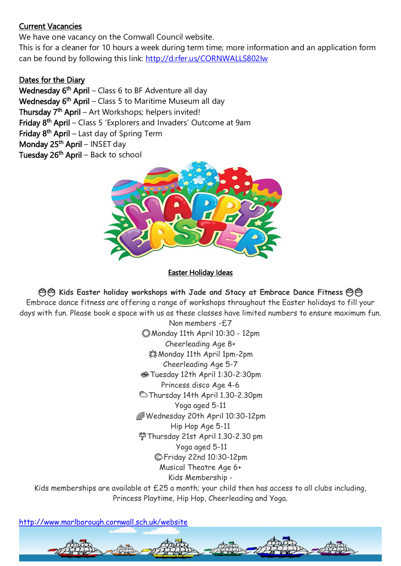#### Current Vacancies

We have one vacancy on the Cornwall Council website.

This is for a cleaner for 10 hours a week during term time; more information and an application form can be found by following this link:<http://d.rfer.us/CORNWALLS802Iw>

#### Dates for the Diary

**Wednesday 6<sup>th</sup> April** – Class 6 to BF Adventure all day **Wednesday 6<sup>th</sup> April** – Class 5 to Maritime Museum all day Thursday 7<sup>th</sup> April – Art Workshops; helpers invited! Friday 8<sup>th</sup> April – Class 5 'Explorers and Invaders' Outcome at 9am Friday 8<sup>th</sup> April – Last day of Spring Term Monday 25<sup>th</sup> April – INSET day Tuesday 26<sup>th</sup> April – Back to school



#### Easter Holiday Ideas

**Kids Easter holiday workshops with Jade and Stacy at Embrace Dance Fitness**

Embrace dance fitness are offering a range of workshops throughout the Easter holidays to fill your days with fun. Please book a space with us as these classes have limited numbers to ensure maximum fun. Non members -£7

☀️Monday 11th April 10:30 - 12pm Cheerleading Age 8+ **終Monday 11th April 1pm-2pm** Cheerleading Age 5-7 Tuesday 12th April 1:30-2:30pm Princess disco Age 4-6 ⛅️Thursday 14th April 1.30-2.30pm Yoga aged 5-11 Wednesday 20th April 10:30-12pm Hip Hop Age 5-11 ☔️Thursday 21st April 1.30-2.30 pm Yoga aged 5-11 Friday 22nd 10:30-12pm Musical Theatre Age 6+ Kids Membership -

Kids memberships are available at  $£25$  a month; your child then has access to all clubs including, Princess Playtime, Hip Hop, Cheerleading and Yoga.

<http://www.marlborough.cornwall.sch.uk/website>